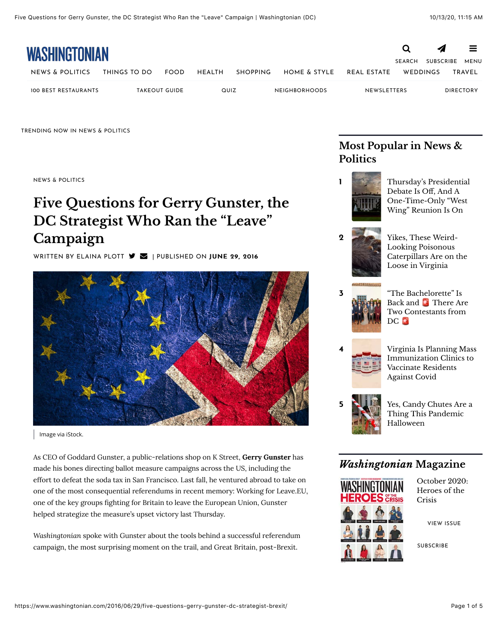!

| <b>WASHINGTONIAN</b> |              |                      |               |                 |                      |               |                  | ◢    | 言                |
|----------------------|--------------|----------------------|---------------|-----------------|----------------------|---------------|------------------|------|------------------|
|                      |              |                      |               |                 |                      | <b>SEARCH</b> | <b>SUBSCRIBE</b> | MENU |                  |
| NEWS & POLITICS      | THINGS TO DO | <b>FOOD</b>          | <b>HEALTH</b> | <b>SHOPPING</b> | HOME & STYLE         | REAL ESTATE   | WEDDINGS         |      | <b>TRAVEL</b>    |
| 100 BEST RESTAURANTS |              | <b>TAKEOUT GUIDE</b> | QUIZ          |                 | <b>NEIGHBORHOODS</b> | NEWSLETTERS   |                  |      | <b>DIRECTORY</b> |

TRENDING NOW IN NEWS & POLITICS

[NEWS & POLITICS](https://www.washingtonian.com/sections/news/)

# **Five Questions for Gerry Gunster, the DC Strategist Who Ran the "Leave" Campaign**

WRITTEN BY [ELAINA PLOTT](https://www.washingtonian.com/author/eplott/)  $\blacktriangledown$  | PUBLISHED ON JUNE 29, 2016



Image via iStock.

As CEO of Goddard Gunster, a public-relations shop on K Street, **Gerry Gunster** has made his bones directing ballot measure campaigns across the US, including the effort to defeat the soda tax in San Francisco. Last fall, he ventured abroad to take on one of the most consequential referendums in recent memory: Working for Leave.EU, one of the key groups fighting for Britain to leave the European Union, Gunster helped strategize the measure's upset victory last Thursday.

*Washingtonian* spoke with Gunster about the tools behind a successful referendum campaign, the most surprising moment on the trail, and Great Britain, post-Brexit.

## **Most Popular in News & Politics**



Debate Is Off, And A One-Time-Only "West Wing" Reunion Is On



2 Yikes, These Weird-Looking Poisonous [Caterpillars Are on the](https://www.washingtonian.com/2020/10/09/furry-venomous-caterpillar-found-in-virginia/) Loose in Virginia

3 "The Bachelorette" Is Back and There Are [Two Contestants from](https://www.washingtonian.com/2020/10/09/the-bachelorette-is-back-and-%F0%9F%9A%A8-there-are-two-contestants-from-dc-%F0%9F%9A%A8/) DC **D** 

4 [Virginia Is Planning Mass](https://www.washingtonian.com/2020/10/12/how-virginia-is-planning-to-vaccinate-residents-for-covid-mass-vaccine-clinics/) Immunization Clinics to Vaccinate Residents Against Covid

[Yes, Candy Chutes Are a](https://www.washingtonian.com/2020/09/29/yes-candy-chutes-are-a-thing-this-pandemic-halloween/) Thing This Pandemic Halloween

### *Washingtonian* **Magazine**



October 2020: Heroes of the Crisis

[VIEW ISSUE](https://www.washingtonian.com/2020/09/30/october-2020-heroes-of-the-crisis/)

**[SUBSCRIBE](https://www.washingtonian.com/subscribe)**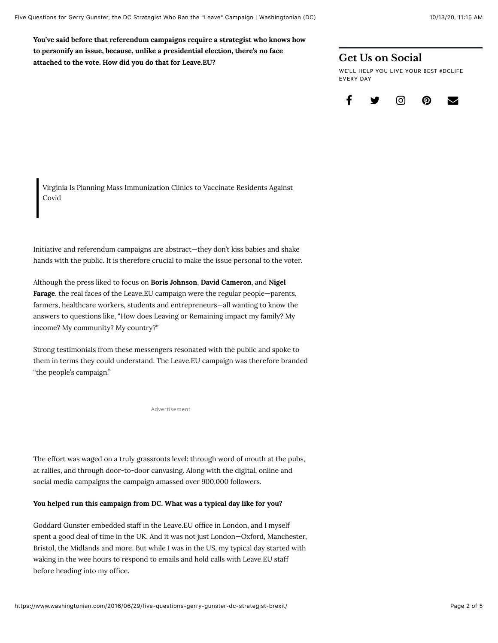**You've said before that referendum campaigns require a strategist who knows how to personify an issue, because, unlike a presidential election, there's no face attached to the vote. How did you do that for Leave.EU?**

### **Get Us on Social**

WE'LL HELP YOU LIVE YOUR BEST #DCLIFE EVERY DAY



Virginia Is Planning Mass Immunization Clinics to Vaccinate Residents Against Covid

Initiative and referendum campaigns are abstract—they don't kiss babies and shake hands with the public. It is therefore crucial to make the issue personal to the voter.

Although the press liked to focus on **Boris Johnson**, **David Cameron**, and **Nigel Farage**, the real faces of the Leave.EU campaign were the regular people—parents, farmers, healthcare workers, students and entrepreneurs—all wanting to know the answers to questions like, "How does Leaving or Remaining impact my family? My income? My community? My country?"

Strong testimonials from these messengers resonated with the public and spoke to them in terms they could understand. The Leave.EU campaign was therefore branded "the people's campaign."

Advertisement

The effort was waged on a truly grassroots level: through word of mouth at the pubs, at rallies, and through door-to-door canvasing. Along with the digital, online and social media campaigns the campaign amassed over 900,000 followers.

#### **You helped run this campaign from DC. What was a typical day like for you?**

Goddard Gunster embedded staff in the Leave.EU office in London, and I myself spent a good deal of time in the UK. And it was not just London—Oxford, Manchester, Bristol, the Midlands and more. But while I was in the US, my typical day started with waking in the wee hours to respond to emails and hold calls with Leave.EU staff before heading into my office.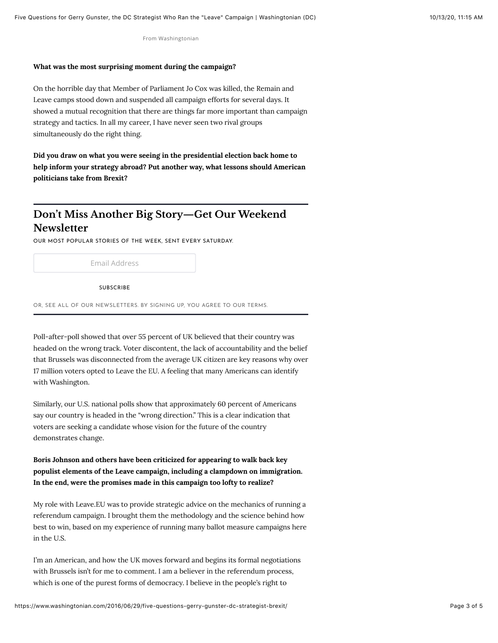From Washingtonian

#### **What was the most surprising moment during the campaign?**

On the horrible day that Member of Parliament Jo Cox was killed, the Remain and Leave camps stood down and suspended all campaign efforts for several days. It showed a mutual recognition that there are things far more important than campaign strategy and tactics. In all my career, I have never seen two rival groups simultaneously do the right thing.

**Did you draw on what you were seeing in the presidential election back home to help inform your strategy abroad? Put another way, what lessons should American politicians take from Brexit?**

## **Don't Miss Another Big Story—Get Our Weekend Newsletter**

OUR MOST POPULAR STORIES OF THE WEEK, SENT EVERY SATURDAY.

Email Address

SUBSCRIBE

OR, SEE ALL OF OUR NEWSLETTERS. BY SIGNING UP, YOU AGREE TO OUR TERMS.

Poll-after-poll showed that over 55 percent of UK believed that their country was headed on the wrong track. Voter discontent, the lack of accountability and the belief that Brussels was disconnected from the average UK citizen are key reasons why over 17 million voters opted to Leave the EU. A feeling that many Americans can identify with Washington.

Similarly, our U.S. national polls show that approximately 60 percent of Americans say our country is headed in the "wrong direction." This is a clear indication that voters are seeking a candidate whose vision for the future of the country demonstrates change.

**Boris Johnson and others have been criticized for appearing to walk back key populist elements of the Leave campaign, including a clampdown on immigration. In the end, were the promises made in this campaign too lofty to realize?**

My role with Leave.EU was to provide strategic advice on the mechanics of running a referendum campaign. I brought them the methodology and the science behind how best to win, based on my experience of running many ballot measure campaigns here in the U.S.

I'm an American, and how the UK moves forward and begins its formal negotiations with Brussels isn't for me to comment. I am a believer in the referendum process, which is one of the purest forms of democracy. I believe in the people's right to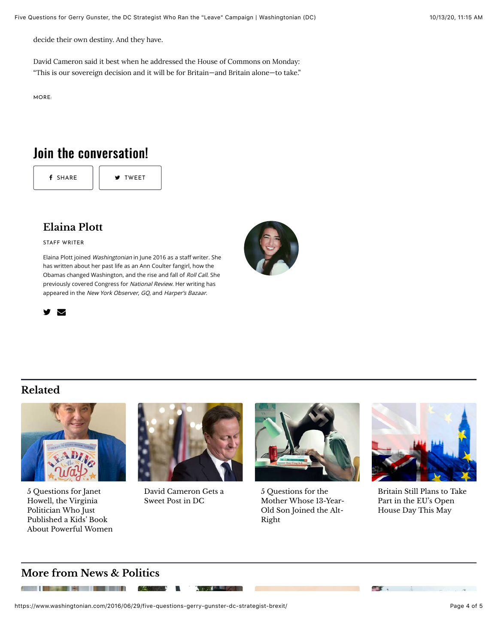decide their own destiny. And they have.

David Cameron said it best when he [addressed the House of Commons](https://www.independent.co.uk/news/uk/politics/david-cameron-statement-to-parliament-brexit-full-text-a7106211.html) on Monday: "This is our sovereign decision and it will be for Britain—and Britain alone—to take."

 $MORE$ :

## Join the conversation!

f [SHARE](https://www.washingtonian.com/2016/06/29/five-questions-gerry-gunster-dc-strategist-brexit/) | **W** [TWEET](https://www.washingtonian.com/2016/06/29/five-questions-gerry-gunster-dc-strategist-brexit/)

## **[Elaina Plott](https://www.washingtonian.com/author/eplott/)**

STAFF WRITER

Elaina Plott joined Washingtonian in June 2016 as a staff writer. She has written about her past life as an [Ann Coulter fangirl](https://www.washingtonian.com/2016/10/05/i-was-a-teenage-ann-coulter-fangirl/), how the [Obamas changed Washington,](https://www.washingtonian.com/2016/12/04/how-the-obamas-changed-washington-dc/) and the [rise and fall of](https://www.washingtonian.com/2016/09/13/roll-call-grapples-with-future-melinda-henneberger-david-ellis//) Roll Call. She previously covered Congress for National Review. Her writing has appeared in the New York Observer, GQ, and Harper's Bazaar.





## **Related**



5 Questions for Janet Howell, the Virginia Politician Who Just Published a Kids' Book [About Powerful Women](https://www.washingtonian.com/2019/11/15/5-questions-for-janet-howell-the-virginia-politician-who-just-published-a-kids-book-about-powerful-women/)



[David Cameron Gets a](https://www.washingtonian.com/2019/06/03/david-cameron-gets-a-sweet-post-in-dc/) Sweet Post in DC

**Normal Party** 



5 Questions for the [Mother Whose 13-Year-](https://www.washingtonian.com/2019/05/13/5-questions-for-the-mother-whose-13-year-old-son-joined-the-alt-right/)Old Son Joined the Alt-Right



[Britain Still Plans to Take](https://www.washingtonian.com/2019/03/22/britain-still-plans-to-take-part-in-the-eus-open-house-day-this-may/) Part in the EU's Open House Day This May

 $\mathcal{L}$ 

### **More from News & Politics**

**All College of the College of the College of the College of the College of the College of the College of the C** 

https://www.washingtonian.com/2016/06/29/five-questions-gerry-gunster-dc-strategist-brexit/ Page 4 of 5

IN STA